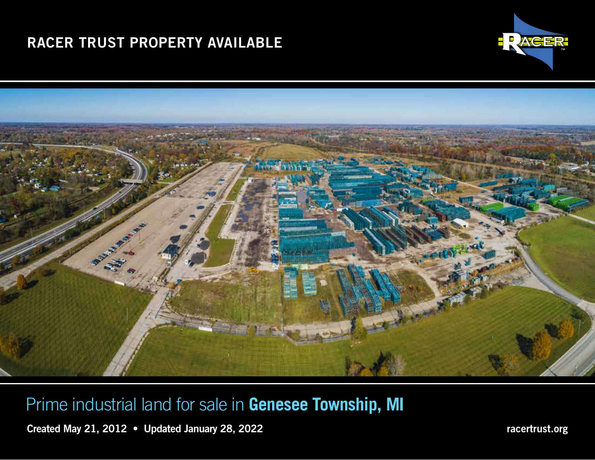# RACER TRUST PROPERTY AVAILABLE





Prime industrial land for sale in **Genesee Township, MI**

Created May 21, 2012 • Updated January 28, 2022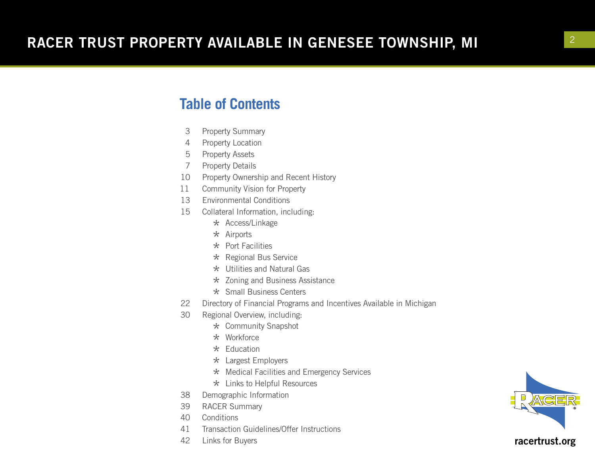### **Table of Contents**

- 3 Property Summary
- 4 Property Location
- 5 Property Assets
- 7 Property Details
- 10 Property Ownership and Recent History
- 11 Community Vision for Property
- 13 Environmental Conditions
- 15 Collateral Information, including:
	- \* Access/Linkage
	- $\star$  Airports
	- $\star$  Port Facilities
	- \* Regional Bus Service
	- $\star$  Utilities and Natural Gas
	- \* Zoning and Business Assistance
	-
- \* Small Business Centers<br>22 Directory of Financial Programs Directory of Financial Programs and Incentives Available in Michigan
- 30 Regional Overview, including:
	- \* Community Snapshot
	- \* Workforce
	- $\star$  Education
	- \* Largest Employers
	- \* Medical Facilities and Emergency Services
- $\star$  Links to Helpful Resources<br>38 Demographic Information
- Demographic Information
- 39 RACER Summary
- 40 Conditions
- 41 Transaction Guidelines/Offer Instructions
- 42 Links for Buyers

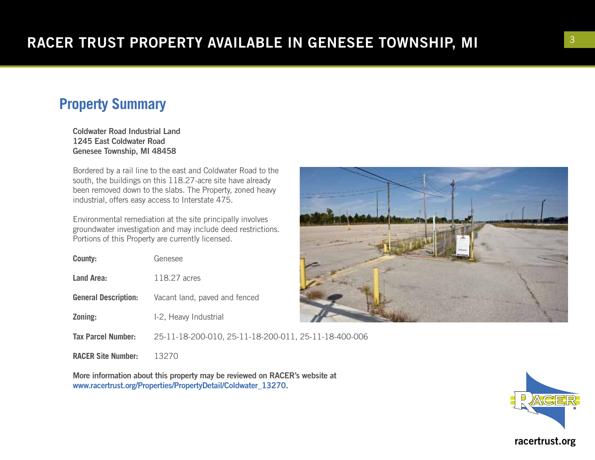## **Property Summary**

Coldwater Road Industrial Land 1245 East Coldwater Road Genesee Township, MI 48458

Bordered by a rail line to the east and Coldwater Road to the south, the buildings on this 118.27-acre site have already been removed down to the slabs. The Property, zoned heavy industrial, offers easy access to Interstate 475.

Environmental remediation at the site principally involves groundwater investigation and may include deed restrictions. Portions of this Property are currently licensed.

| <b>County:</b>              | Genesee                                              |  |
|-----------------------------|------------------------------------------------------|--|
| <b>Land Area:</b>           | 118.27 acres                                         |  |
| <b>General Description:</b> | Vacant land, paved and fenced                        |  |
| Zoning:                     | I-2, Heavy Industrial                                |  |
| <b>Tax Parcel Number:</b>   | 25-11-18-200-010, 25-11-18-200-011, 25-11-18-400-006 |  |
| <b>RACER Site Number:</b>   |                                                      |  |

More information about this property may be reviewed on RACER's website at www.racertrust.org/Properties/PropertyDetail/Coldwater\_13270.



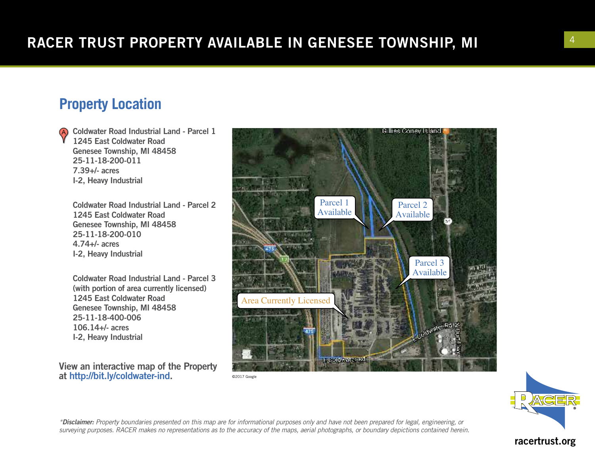## **Property Location**

Coldwater Road Industrial Land - Parcel 1 1245 East Coldwater Road Genesee Township, MI 48458 25-11-18-200-011 7.39+/- acres I-2, Heavy Industrial

Coldwater Road Industrial Land - Parcel 2 1245 East Coldwater Road Genesee Township, MI 48458 25-11-18-200-010 4.74+/- acres I-2, Heavy Industrial

Coldwater Road Industrial Land - Parcel 3 (with portion of area currently licensed) 1245 East Coldwater Road Genesee Township, MI 48458 25-11-18-400-006 106.14+/- acres I-2, Heavy Industrial

View an interactive map of the Property at http://bit.ly/coldwater-ind.



©2017 Google



*\*Disclaimer: Property boundaries presented on this map are for informational purposes only and have not been prepared for legal, engineering, or surveying purposes. RACER makes no representations as to the accuracy of the maps, aerial photographs, or boundary depictions contained herein.*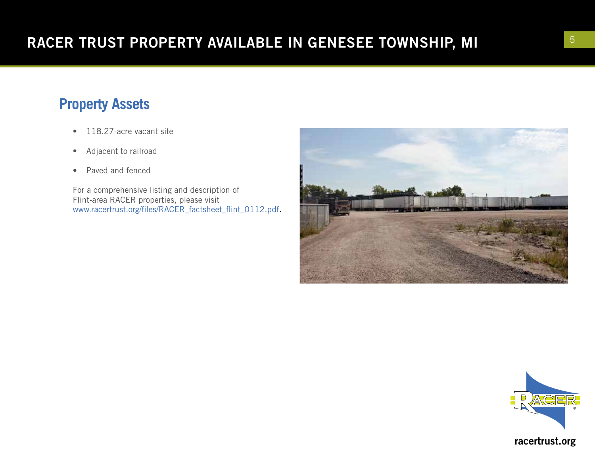## **Property Assets**

- 118.27-acre vacant site
- Adjacent to railroad
- Paved and fenced

For a comprehensive listing and description of Flint-area RACER properties, please visit www.racertrust.org/files/RACER\_factsheet\_flint\_0112.pdf.



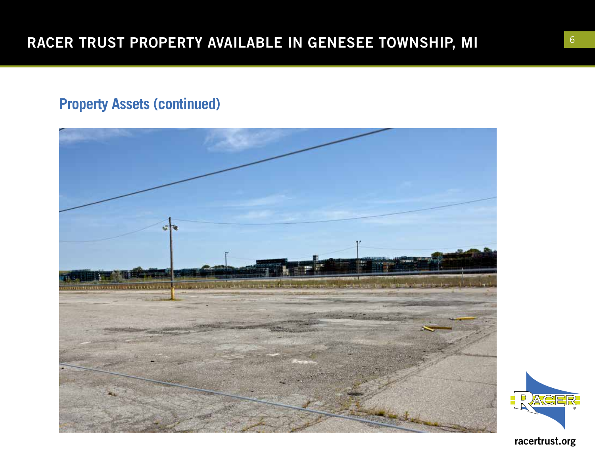## **Property Assets (continued)**



 $\Box$ **ACE**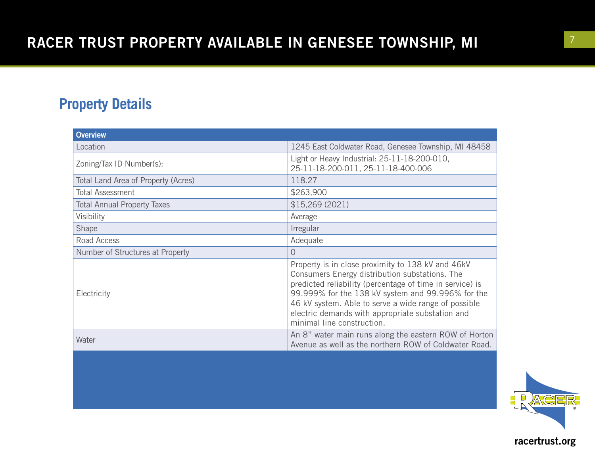## **Property Details**

| <b>Overview</b>                     |                                                                                                                                                                                                                                                                                                                                                                |  |
|-------------------------------------|----------------------------------------------------------------------------------------------------------------------------------------------------------------------------------------------------------------------------------------------------------------------------------------------------------------------------------------------------------------|--|
| Location                            | 1245 East Coldwater Road, Genesee Township, MI 48458                                                                                                                                                                                                                                                                                                           |  |
| Zoning/Tax ID Number(s):            | Light or Heavy Industrial: 25-11-18-200-010,<br>25-11-18-200-011, 25-11-18-400-006                                                                                                                                                                                                                                                                             |  |
| Total Land Area of Property (Acres) | 118.27                                                                                                                                                                                                                                                                                                                                                         |  |
| <b>Total Assessment</b>             | \$263,900                                                                                                                                                                                                                                                                                                                                                      |  |
| <b>Total Annual Property Taxes</b>  | \$15,269(2021)                                                                                                                                                                                                                                                                                                                                                 |  |
| Visibility                          | Average                                                                                                                                                                                                                                                                                                                                                        |  |
| Shape                               | Irregular                                                                                                                                                                                                                                                                                                                                                      |  |
| Road Access                         | Adequate                                                                                                                                                                                                                                                                                                                                                       |  |
| Number of Structures at Property    | 0                                                                                                                                                                                                                                                                                                                                                              |  |
| Electricity                         | Property is in close proximity to 138 kV and 46kV<br>Consumers Energy distribution substations. The<br>predicted reliability (percentage of time in service) is<br>99.999% for the 138 kV system and 99.996% for the<br>46 kV system. Able to serve a wide range of possible<br>electric demands with appropriate substation and<br>minimal line construction. |  |
| Water                               | An 8" water main runs along the eastern ROW of Horton<br>Avenue as well as the northern ROW of Coldwater Road.                                                                                                                                                                                                                                                 |  |

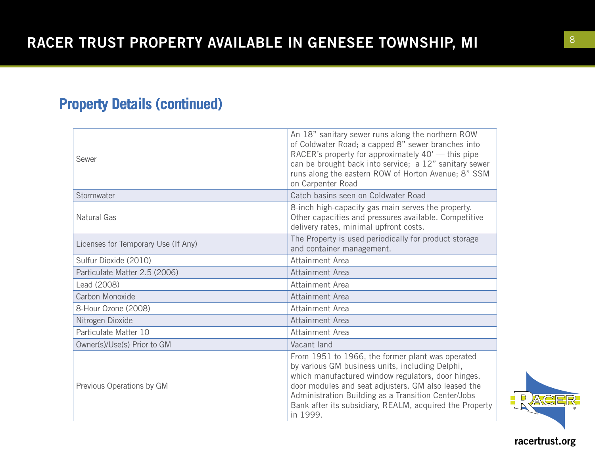## **Property Details (continued)**

| Sewer                               | An 18" sanitary sewer runs along the northern ROW<br>of Coldwater Road; a capped 8" sewer branches into<br>RACER's property for approximately 40' — this pipe<br>can be brought back into service; a 12" sanitary sewer<br>runs along the eastern ROW of Horton Avenue; 8" SSM<br>on Carpenter Road                                            |  |
|-------------------------------------|------------------------------------------------------------------------------------------------------------------------------------------------------------------------------------------------------------------------------------------------------------------------------------------------------------------------------------------------|--|
| Stormwater                          | Catch basins seen on Coldwater Road                                                                                                                                                                                                                                                                                                            |  |
| Natural Gas                         | 8-inch high-capacity gas main serves the property.<br>Other capacities and pressures available. Competitive<br>delivery rates, minimal upfront costs.                                                                                                                                                                                          |  |
| Licenses for Temporary Use (If Any) | The Property is used periodically for product storage<br>and container management.                                                                                                                                                                                                                                                             |  |
| Sulfur Dioxide (2010)               | Attainment Area                                                                                                                                                                                                                                                                                                                                |  |
| Particulate Matter 2.5 (2006)       | Attainment Area                                                                                                                                                                                                                                                                                                                                |  |
| Lead (2008)                         | Attainment Area                                                                                                                                                                                                                                                                                                                                |  |
| Carbon Monoxide                     | Attainment Area                                                                                                                                                                                                                                                                                                                                |  |
| 8-Hour Ozone (2008)                 | Attainment Area                                                                                                                                                                                                                                                                                                                                |  |
| Nitrogen Dioxide                    | Attainment Area                                                                                                                                                                                                                                                                                                                                |  |
| Particulate Matter 10               | Attainment Area                                                                                                                                                                                                                                                                                                                                |  |
| Owner(s)/Use(s) Prior to GM         | Vacant land                                                                                                                                                                                                                                                                                                                                    |  |
| Previous Operations by GM           | From 1951 to 1966, the former plant was operated<br>by various GM business units, including Delphi,<br>which manufactured window regulators, door hinges,<br>door modules and seat adjusters. GM also leased the<br>Administration Building as a Transition Center/Jobs<br>Bank after its subsidiary, REALM, acquired the Property<br>in 1999. |  |

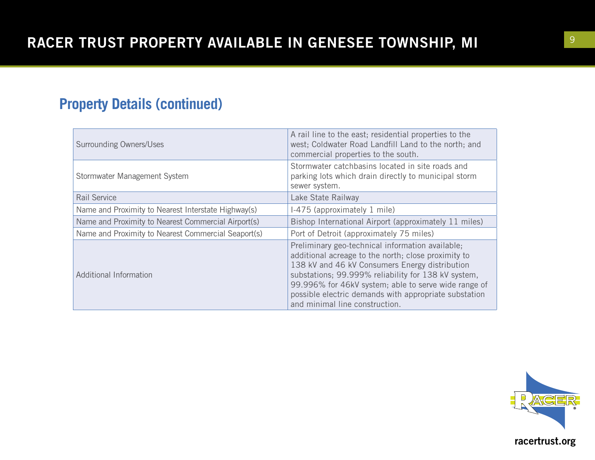## **Property Details (continued)**

| <b>Surrounding Owners/Uses</b>                      | A rail line to the east; residential properties to the<br>west; Coldwater Road Landfill Land to the north; and<br>commercial properties to the south.                                                                                                                                                                                                               |  |
|-----------------------------------------------------|---------------------------------------------------------------------------------------------------------------------------------------------------------------------------------------------------------------------------------------------------------------------------------------------------------------------------------------------------------------------|--|
| Stormwater Management System                        | Stormwater catchbasins located in site roads and<br>parking lots which drain directly to municipal storm<br>sewer system.                                                                                                                                                                                                                                           |  |
| Rail Service                                        | Lake State Railway                                                                                                                                                                                                                                                                                                                                                  |  |
| Name and Proximity to Nearest Interstate Highway(s) | I-475 (approximately 1 mile)                                                                                                                                                                                                                                                                                                                                        |  |
| Name and Proximity to Nearest Commercial Airport(s) | Bishop International Airport (approximately 11 miles)                                                                                                                                                                                                                                                                                                               |  |
| Name and Proximity to Nearest Commercial Seaport(s) | Port of Detroit (approximately 75 miles)                                                                                                                                                                                                                                                                                                                            |  |
| <b>Additional Information</b>                       | Preliminary geo-technical information available;<br>additional acreage to the north; close proximity to<br>138 kV and 46 kV Consumers Energy distribution<br>substations; 99.999% reliability for 138 kV system,<br>99.996% for 46kV system; able to serve wide range of<br>possible electric demands with appropriate substation<br>and minimal line construction. |  |

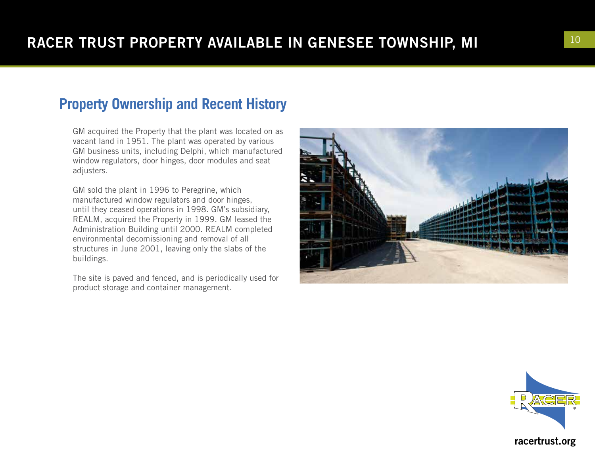## **Property Ownership and Recent History**

GM acquired the Property that the plant was located on as vacant land in 1951. The plant was operated by various GM business units, including Delphi, which manufactured window regulators, door hinges, door modules and seat adjusters.

GM sold the plant in 1996 to Peregrine, which manufactured window regulators and door hinges, until they ceased operations in 1998. GM's subsidiary, REALM, acquired the Property in 1999. GM leased the Administration Building until 2000. REALM completed environmental decomissioning and removal of all structures in June 2001, leaving only the slabs of the buildings.

The site is paved and fenced, and is periodically used for product storage and container management.



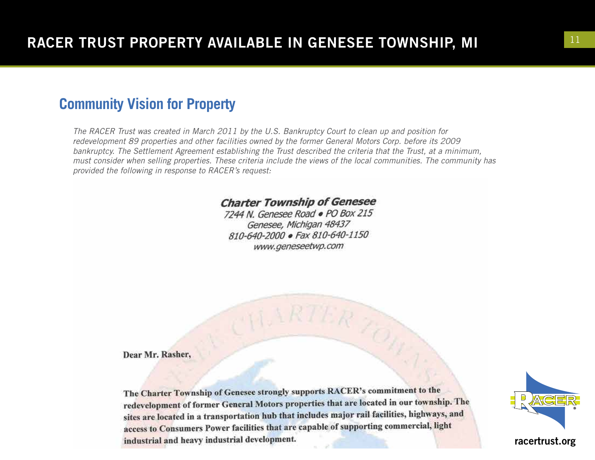### **Community Vision for Property**

*The RACER Trust was created in March 2011 by the U.S. Bankruptcy Court to clean up and position for redevelopment 89 properties and other facilities owned by the former General Motors Corp. before its 2009 bankruptcy. The Settlement Agreement establishing the Trust described the criteria that the Trust, at a minimum, must consider when selling properties. These criteria include the views of the local communities. The community has provided the following in response to RACER's request:*

#### **Charter Township of Genesee**

7244 N. Genesee Road . PO Box 215 Genesee, Michigan 48437 810-640-2000 · Fax 810-640-1150 www.geneseetwp.com

Dear Mr. Rasher,

The Charter Township of Genesee strongly supports RACER's commitment to the redevelopment of former General Motors properties that are located in our township. The sites are located in a transportation hub that includes major rail facilities, highways, and access to Consumers Power facilities that are capable of supporting commercial, light industrial and heavy industrial development.

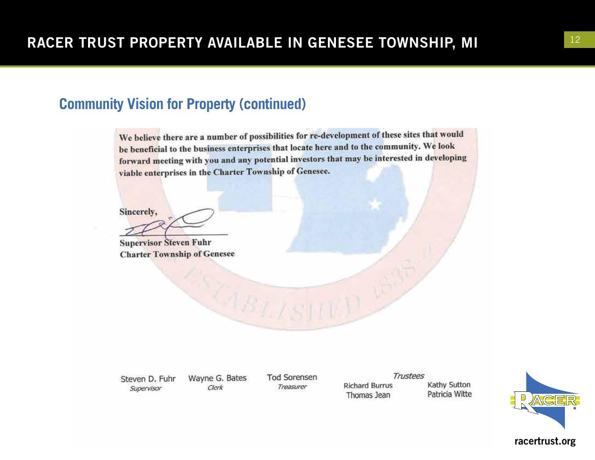### **Community Vision for Property (continued)**

We believe there are a number of possibilities for re-development of these sites that would be beneficial to the business enterprises that locate here and to the community. We look forward meeting with you and any potential investors that may be interested in developing viable enterprises in the Charter Township of Genesee.

Sincerely,

**Supervisor Steven Fuhr Charter Township of Genesee** 

Steven D. Fuhr Supervisor

Wayne G. Bates Clerk

**Tod Sorensen** Treasurer

Trustees **Richard Burrus** Thomas Jean

Kathy Sutton Patricia Witte

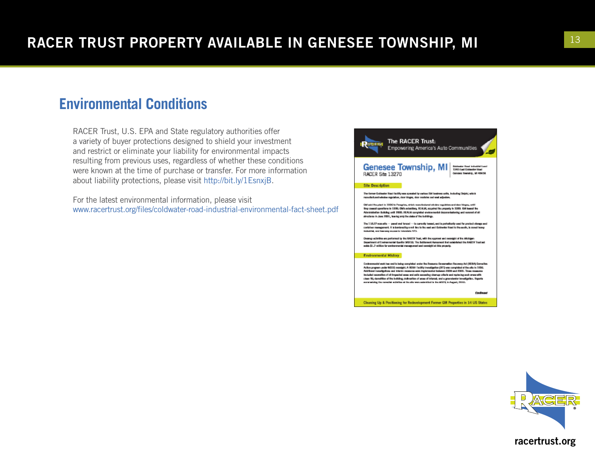## **Environmental Conditions**

RACER Trust, U.S. EPA and State regulatory authorities offer a variety of buyer protections designed to shield your investment and restrict or eliminate your liability for environmental impacts resulting from previous uses, regardless of whether these conditions were known at the time of purchase or transfer. For more information about liability protections, please visit http://bit.ly/1EsnxjB.

For the latest environmental information, please visit www.racertrust.org/files/coldwater-road-industrial-environmental-fact-sheet.pdf



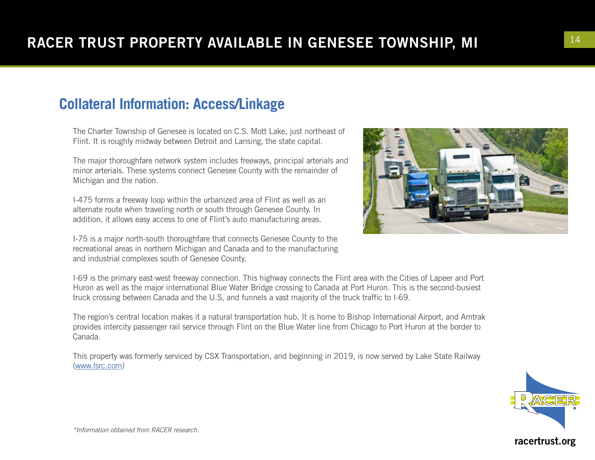## **Collateral Information: Access/Linkage**

The Charter Township of Genesee is located on C.S. Mott Lake, just northeast of Flint. It is roughly midway between Detroit and Lansing, the state capital.

The major thoroughfare network system includes freeways, principal arterials and minor arterials. These systems connect Genesee County with the remainder of Michigan and the nation.

I-475 forms a freeway loop within the urbanized area of Flint as well as an alternate route when traveling north or south through Genesee County. In addition, it allows easy access to one of Flint's auto manufacturing areas.

I-75 is a major north-south thoroughfare that connects Genesee County to the recreational areas in northern Michigan and Canada and to the manufacturing and industrial complexes south of Genesee County.



I-69 is the primary east-west freeway connection. This highway connects the Flint area with the Cities of Lapeer and Port Huron as well as the major international Blue Water Bridge crossing to Canada at Port Huron. This is the second-busiest truck crossing between Canada and the U.S, and funnels a vast majority of the truck traffic to I-69.

The region's central location makes it a natural transportation hub. It is home to Bishop International Airport, and Amtrak provides intercity passenger rail service through Flint on the Blue Water line from Chicago to Port Huron at the border to Canada.

This property was formerly serviced by CSX Transportation, and beginning in 2019, is now served by Lake State Railway [\(www.lsrc.com](http://www.lsrc.com))

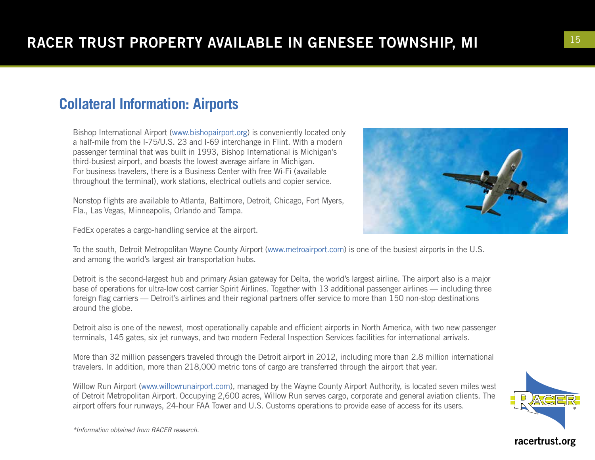## **Collateral Information: Airports**

Bishop International Airport (www.bishopairport.org) is conveniently located only a half-mile from the I-75/U.S. 23 and I-69 interchange in Flint. With a modern passenger terminal that was built in 1993, Bishop International is Michigan's third-busiest airport, and boasts the lowest average airfare in Michigan. For business travelers, there is a Business Center with free Wi-Fi (available throughout the terminal), work stations, electrical outlets and copier service.

Nonstop flights are available to Atlanta, Baltimore, Detroit, Chicago, Fort Myers, Fla., Las Vegas, Minneapolis, Orlando and Tampa.

FedEx operates a cargo-handling service at the airport.



To the south, Detroit Metropolitan Wayne County Airport (www.metroairport.com) is one of the busiest airports in the U.S. and among the world's largest air transportation hubs.

Detroit is the second-largest hub and primary Asian gateway for Delta, the world's largest airline. The airport also is a major base of operations for ultra-low cost carrier Spirit Airlines. Together with 13 additional passenger airlines — including three foreign flag carriers — Detroit's airlines and their regional partners offer service to more than 150 non-stop destinations around the globe.

Detroit also is one of the newest, most operationally capable and efficient airports in North America, with two new passenger terminals, 145 gates, six jet runways, and two modern Federal Inspection Services facilities for international arrivals.

More than 32 million passengers traveled through the Detroit airport in 2012, including more than 2.8 million international travelers. In addition, more than 218,000 metric tons of cargo are transferred through the airport that year.

Willow Run Airport (www.willowrunairport.com), managed by the Wayne County Airport Authority, is located seven miles west of Detroit Metropolitan Airport. Occupying 2,600 acres, Willow Run serves cargo, corporate and general aviation clients. The airport offers four runways, 24-hour FAA Tower and U.S. Customs operations to provide ease of access for its users.



*\*Information obtained from RACER research.*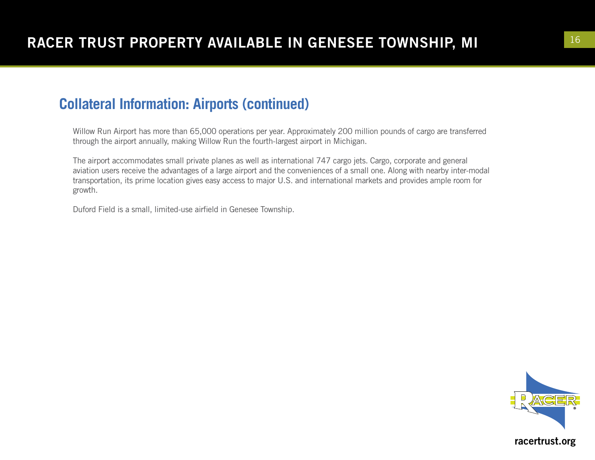### **Collateral Information: Airports (continued)**

Willow Run Airport has more than 65,000 operations per year. Approximately 200 million pounds of cargo are transferred through the airport annually, making Willow Run the fourth-largest airport in Michigan.

The airport accommodates small private planes as well as international 747 cargo jets. Cargo, corporate and general aviation users receive the advantages of a large airport and the conveniences of a small one. Along with nearby inter-modal transportation, its prime location gives easy access to major U.S. and international markets and provides ample room for growth.

Duford Field is a small, limited-use airfield in Genesee Township.

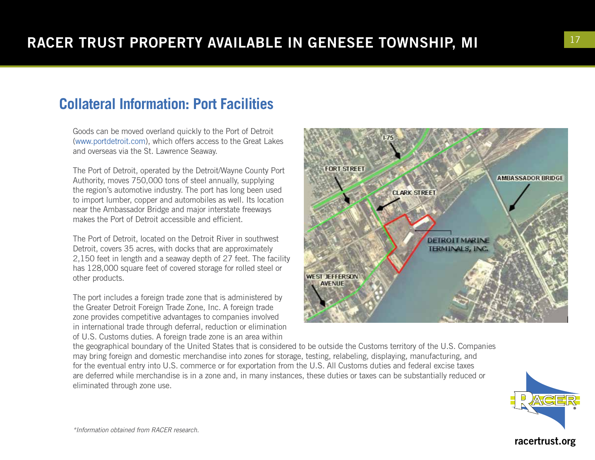## **Collateral Information: Port Facilities**

Goods can be moved overland quickly to the Port of Detroit (www.portdetroit.com), which offers access to the Great Lakes and overseas via the St. Lawrence Seaway.

The Port of Detroit, operated by the Detroit/Wayne County Port Authority, moves 750,000 tons of steel annually, supplying the region's automotive industry. The port has long been used to import lumber, copper and automobiles as well. Its location near the Ambassador Bridge and major interstate freeways makes the Port of Detroit accessible and efficient.

The Port of Detroit, located on the Detroit River in southwest Detroit, covers 35 acres, with docks that are approximately 2,150 feet in length and a seaway depth of 27 feet. The facility has 128,000 square feet of covered storage for rolled steel or other products.

The port includes a foreign trade zone that is administered by the Greater Detroit Foreign Trade Zone, Inc. A foreign trade zone provides competitive advantages to companies involved in international trade through deferral, reduction or elimination of U.S. Customs duties. A foreign trade zone is an area within



the geographical boundary of the United States that is considered to be outside the Customs territory of the U.S. Companies may bring foreign and domestic merchandise into zones for storage, testing, relabeling, displaying, manufacturing, and for the eventual entry into U.S. commerce or for exportation from the U.S. All Customs duties and federal excise taxes are deferred while merchandise is in a zone and, in many instances, these duties or taxes can be substantially reduced or eliminated through zone use.



*\*Information obtained from RACER research.*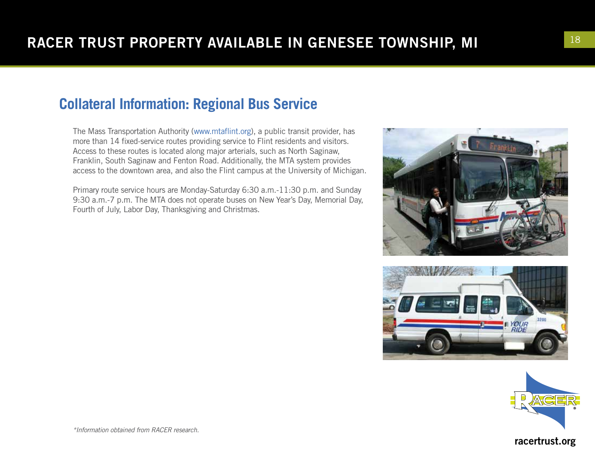## **Collateral Information: Regional Bus Service**

The Mass Transportation Authority (www.mtaflint.org), a public transit provider, has more than 14 fixed-service routes providing service to Flint residents and visitors. Access to these routes is located along major arterials, such as North Saginaw, Franklin, South Saginaw and Fenton Road. Additionally, the MTA system provides access to the downtown area, and also the Flint campus at the University of Michigan.

Primary route service hours are Monday-Saturday 6:30 a.m.-11:30 p.m. and Sunday 9:30 a.m.-7 p.m. The MTA does not operate buses on New Year's Day, Memorial Day, Fourth of July, Labor Day, Thanksgiving and Christmas.







racertrust.org

*\*Information obtained from RACER research.*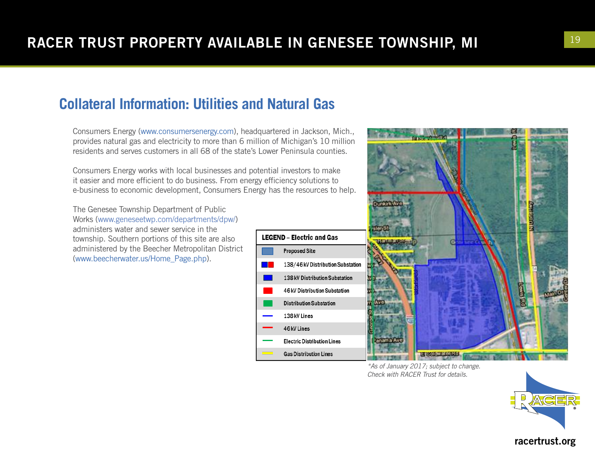## **Collateral Information: Utilities and Natural Gas**

Consumers Energy (www.consumersenergy.com), headquartered in Jackson, Mich., provides natural gas and electricity to more than 6 million of Michigan's 10 million residents and serves customers in all 68 of the state's Lower Peninsula counties.

Consumers Energy works with local businesses and potential investors to make Consumers Energy works with local businesses and potential investors to make<br>it easier and more efficient to do business. From energy efficiency solutions to<br>a business to accompanie development. Consumers From less the ma e-business to economic development, Consumers Energy has the resources to help.

> The Genesee Township Department of Public Works [\(www.geneseetwp.com/departments/dpw/](http://www.geneseetwp.com/departments/dpw/)) administers water and sewer service in the township. Southern portions of this site are also administered by the Beecher Metropolitan District (www.beecherwater.us/Home\_Page.php).



*\*As of January 2017; subject to change. Check with RACER Trust for details.*



#### racertrust.org available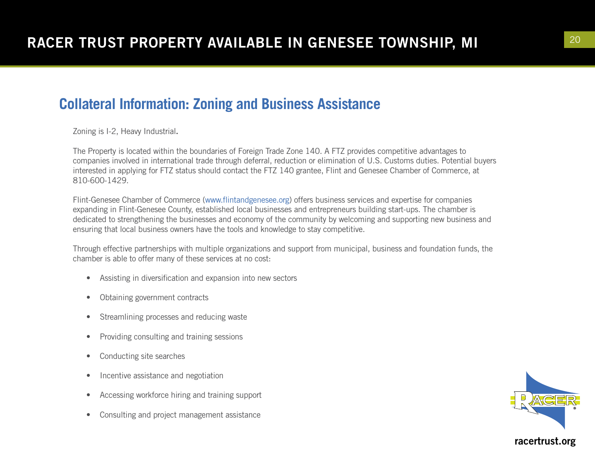### **Collateral Information: Zoning and Business Assistance**

Zoning is I-2, Heavy Industrial.

The Property is located within the boundaries of Foreign Trade Zone 140. A FTZ provides competitive advantages to companies involved in international trade through deferral, reduction or elimination of U.S. Customs duties. Potential buyers interested in applying for FTZ status should contact the FTZ 140 grantee, Flint and Genesee Chamber of Commerce, at 810-600-1429.

Flint-Genesee Chamber of Commerce (www.flintandgenesee.org) offers business services and expertise for companies expanding in Flint-Genesee County, established local businesses and entrepreneurs building start-ups. The chamber is dedicated to strengthening the businesses and economy of the community by welcoming and supporting new business and ensuring that local business owners have the tools and knowledge to stay competitive.

Through effective partnerships with multiple organizations and support from municipal, business and foundation funds, the chamber is able to offer many of these services at no cost:

- Assisting in diversification and expansion into new sectors
- Obtaining government contracts
- Streamlining processes and reducing waste
- Providing consulting and training sessions
- Conducting site searches
- Incentive assistance and negotiation
- Accessing workforce hiring and training support
- Consulting and project management assistance

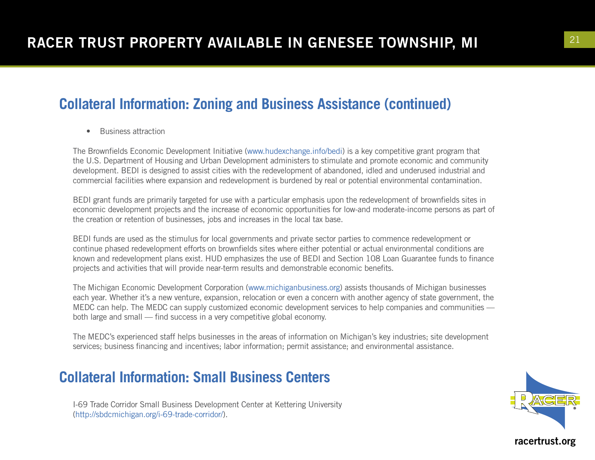## **Collateral Information: Zoning and Business Assistance (continued)**

• Business attraction

The Brownfields Economic Development Initiative (www.hudexchange.info/bedi) is a key competitive grant program that the U.S. Department of Housing and Urban Development administers to stimulate and promote economic and community development. BEDI is designed to assist cities with the redevelopment of abandoned, idled and underused industrial and commercial facilities where expansion and redevelopment is burdened by real or potential environmental contamination.

BEDI grant funds are primarily targeted for use with a particular emphasis upon the redevelopment of brownfields sites in economic development projects and the increase of economic opportunities for low-and moderate-income persons as part of the creation or retention of businesses, jobs and increases in the local tax base.

BEDI funds are used as the stimulus for local governments and private sector parties to commence redevelopment or continue phased redevelopment efforts on brownfields sites where either potential or actual environmental conditions are known and redevelopment plans exist. HUD emphasizes the use of BEDI and Section 108 Loan Guarantee funds to finance projects and activities that will provide near-term results and demonstrable economic benefits.

The Michigan Economic Development Corporation (www.michiganbusiness.org) assists thousands of Michigan businesses each year. Whether it's a new venture, expansion, relocation or even a concern with another agency of state government, the MEDC can help. The MEDC can supply customized economic development services to help companies and communities both large and small — find success in a very competitive global economy.

The MEDC's experienced staff helps businesses in the areas of information on Michigan's key industries; site development services; business financing and incentives; labor information; permit assistance; and environmental assistance.

## **Collateral Information: Small Business Centers**

I-69 Trade Corridor Small Business Development Center at Kettering University (http://sbdcmichigan.org/i-69-trade-corridor/).

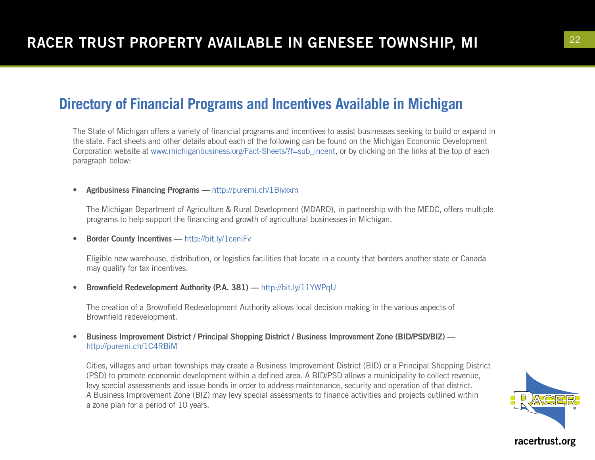The State of Michigan offers a variety of financial programs and incentives to assist businesses seeking to build or expand in the state. Fact sheets and other details about each of the following can be found on the Michigan Economic Development Corporation website at www.michiganbusiness.org/Fact-Sheets/?f=sub\_incent, or by clicking on the links at the top of each paragraph below:

• Agribusiness Financing Programs — http://puremi.ch/1Biyxxm

The Michigan Department of Agriculture & Rural Development (MDARD), in partnership with the MEDC, offers multiple programs to help support the financing and growth of agricultural businesses in Michigan.

• Border County Incentives — http://bit.ly/1ceniFv

Eligible new warehouse, distribution, or logistics facilities that locate in a county that borders another state or Canada may qualify for tax incentives.

• Brownfield Redevelopment Authority (P.A. 381) — http://bit.ly/11YWPqU

The creation of a Brownfield Redevelopment Authority allows local decision-making in the various aspects of Brownfield redevelopment.

• Business Improvement District / Principal Shopping District / Business Improvement Zone (BID/PSD/BIZ) http://puremi.ch/1C4RBiM

Cities, villages and urban townships may create a Business Improvement District (BID) or a Principal Shopping District (PSD) to promote economic development within a defined area. A BID/PSD allows a municipality to collect revenue, levy special assessments and issue bonds in order to address maintenance, security and operation of that district. A Business Improvement Zone (BIZ) may levy special assessments to finance activities and projects outlined within a zone plan for a period of 10 years.

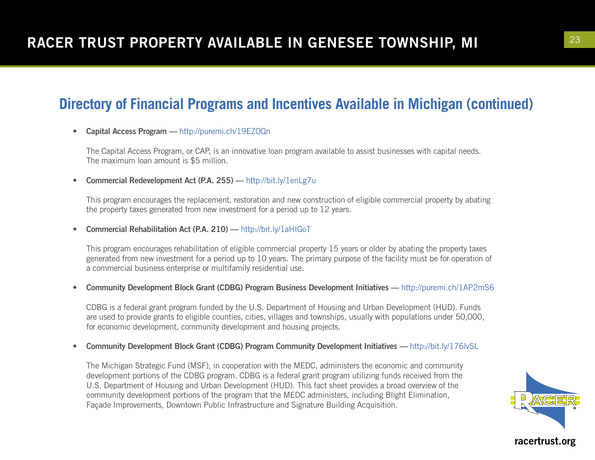#### • Capital Access Program — http://puremi.ch/19EZOQn

The Capital Access Program, or CAP, is an innovative loan program available to assist businesses with capital needs. The maximum loan amount is \$5 million.

• Commercial Redevelopment Act (P.A. 255) — http://bit.ly/1enLg7u

This program encourages the replacement, restoration and new construction of eligible commercial property by abating the property taxes generated from new investment for a period up to 12 years.

• Commercial Rehabilitation Act (P.A. 210) — http://bit.ly/1aHIGoT

This program encourages rehabilitation of eligible commercial property 15 years or older by abating the property taxes generated from new investment for a period up to 10 years. The primary purpose of the facility must be for operation of a commercial business enterprise or multifamily residential use.

• Community Development Block Grant (CDBG) Program Business Development Initiatives — http://puremi.ch/1AP2mS6

CDBG is a federal grant program funded by the U.S. Department of Housing and Urban Development (HUD). Funds are used to provide grants to eligible counties, cities, villages and townships, usually with populations under 50,000, for economic development, community development and housing projects.

• Community Development Block Grant (CDBG) Program Community Development Initiatives — http://bit.ly/176lvSL

The Michigan Strategic Fund (MSF), in cooperation with the MEDC, administers the economic and community development portions of the CDBG program. CDBG is a federal grant program utilizing funds received from the U.S. Department of Housing and Urban Development (HUD). This fact sheet provides a broad overview of the community development portions of the program that the MEDC administers, including Blight Elimination, Façade Improvements, Downtown Public Infrastructure and Signature Building Acquisition.

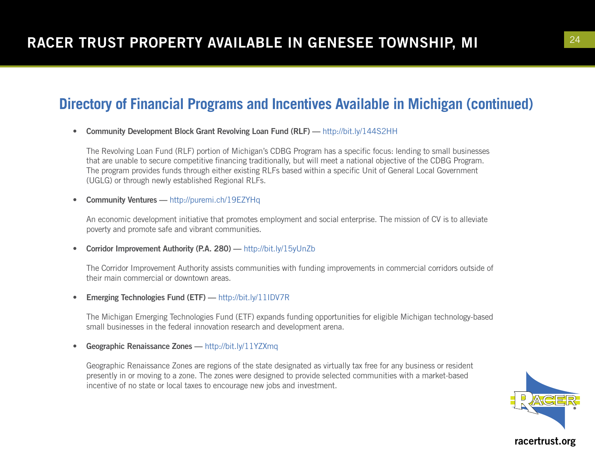• Community Development Block Grant Revolving Loan Fund (RLF) — http://bit.ly/144S2HH

The Revolving Loan Fund (RLF) portion of Michigan's CDBG Program has a specific focus: lending to small businesses that are unable to secure competitive financing traditionally, but will meet a national objective of the CDBG Program. The program provides funds through either existing RLFs based within a specific Unit of General Local Government (UGLG) or through newly established Regional RLFs.

• Community Ventures — http://puremi.ch/19EZYHq

An economic development initiative that promotes employment and social enterprise. The mission of CV is to alleviate poverty and promote safe and vibrant communities.

• Corridor Improvement Authority (P.A. 280) — http://bit.ly/15yUnZb

The Corridor Improvement Authority assists communities with funding improvements in commercial corridors outside of their main commercial or downtown areas.

• Emerging Technologies Fund (ETF) — http://bit.ly/11IDV7R

The Michigan Emerging Technologies Fund (ETF) expands funding opportunities for eligible Michigan technology-based small businesses in the federal innovation research and development arena.

• Geographic Renaissance Zones - http://bit.ly/11YZXmq

Geographic Renaissance Zones are regions of the state designated as virtually tax free for any business or resident presently in or moving to a zone. The zones were designed to provide selected communities with a market-based incentive of no state or local taxes to encourage new jobs and investment.

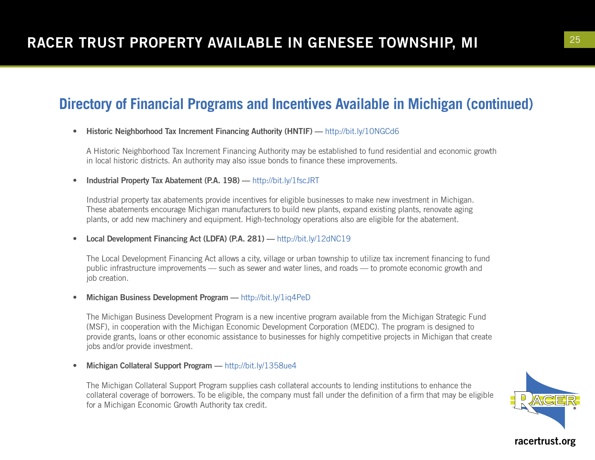#### • Historic Neighborhood Tax Increment Financing Authority (HNTIF) — http://bit.ly/10NGCd6

A Historic Neighborhood Tax Increment Financing Authority may be established to fund residential and economic growth in local historic districts. An authority may also issue bonds to finance these improvements.

• Industrial Property Tax Abatement (P.A. 198) — http://bit.ly/1fscJRT

Industrial property tax abatements provide incentives for eligible businesses to make new investment in Michigan. These abatements encourage Michigan manufacturers to build new plants, expand existing plants, renovate aging plants, or add new machinery and equipment. High-technology operations also are eligible for the abatement.

• Local Development Financing Act (LDFA) (P.A. 281) — http://bit.ly/12dNC19

The Local Development Financing Act allows a city, village or urban township to utilize tax increment financing to fund public infrastructure improvements — such as sewer and water lines, and roads — to promote economic growth and job creation.

• Michigan Business Development Program — http://bit.ly/1iq4PeD

The Michigan Business Development Program is a new incentive program available from the Michigan Strategic Fund (MSF), in cooperation with the Michigan Economic Development Corporation (MEDC). The program is designed to provide grants, loans or other economic assistance to businesses for highly competitive projects in Michigan that create jobs and/or provide investment.

• Michigan Collateral Support Program — http://bit.ly/1358ue4

The Michigan Collateral Support Program supplies cash collateral accounts to lending institutions to enhance the collateral coverage of borrowers. To be eligible, the company must fall under the definition of a firm that may be eligible for a Michigan Economic Growth Authority tax credit.

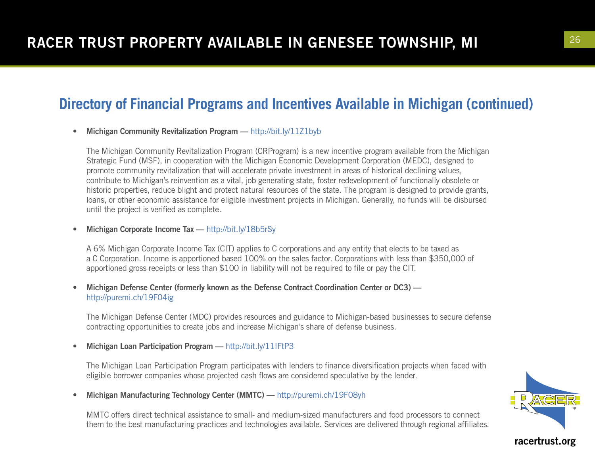#### • Michigan Community Revitalization Program — http://bit.ly/11Z1byb

The Michigan Community Revitalization Program (CRProgram) is a new incentive program available from the Michigan Strategic Fund (MSF), in cooperation with the Michigan Economic Development Corporation (MEDC), designed to promote community revitalization that will accelerate private investment in areas of historical declining values, contribute to Michigan's reinvention as a vital, job generating state, foster redevelopment of functionally obsolete or historic properties, reduce blight and protect natural resources of the state. The program is designed to provide grants, loans, or other economic assistance for eligible investment projects in Michigan. Generally, no funds will be disbursed until the project is verified as complete.

#### • Michigan Corporate Income Tax — http://bit.ly/18b5rSy

A 6% Michigan Corporate Income Tax (CIT) applies to C corporations and any entity that elects to be taxed as a C Corporation. Income is apportioned based 100% on the sales factor. Corporations with less than \$350,000 of apportioned gross receipts or less than \$100 in liability will not be required to file or pay the CIT.

#### • Michigan Defense Center (formerly known as the Defense Contract Coordination Center or DC3) http://puremi.ch/19F04ig

The Michigan Defense Center (MDC) provides resources and guidance to Michigan-based businesses to secure defense contracting opportunities to create jobs and increase Michigan's share of defense business.

#### Michigan Loan Participation Program — http://bit.ly/11IFtP3

The Michigan Loan Participation Program participates with lenders to finance diversification projects when faced with eligible borrower companies whose projected cash flows are considered speculative by the lender.

• Michigan Manufacturing Technology Center (MMTC) — http://puremi.ch/19F08yh

MMTC offers direct technical assistance to small- and medium-sized manufacturers and food processors to connect them to the best manufacturing practices and technologies available. Services are delivered through regional affiliates.

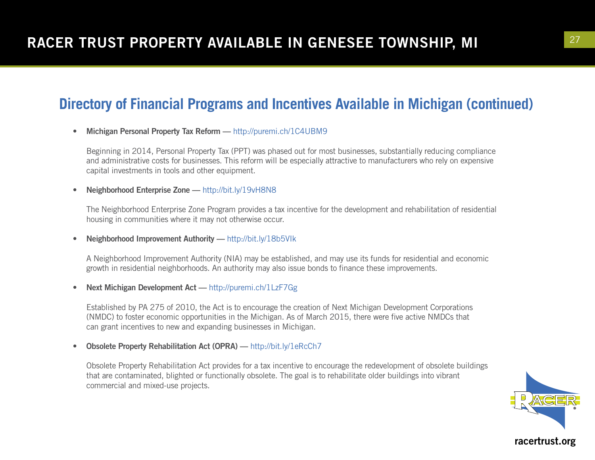#### • Michigan Personal Property Tax Reform - http://puremi.ch/1C4UBM9

Beginning in 2014, Personal Property Tax (PPT) was phased out for most businesses, substantially reducing compliance and administrative costs for businesses. This reform will be especially attractive to manufacturers who rely on expensive capital investments in tools and other equipment.

#### • Neighborhood Enterprise Zone - http://bit.ly/19vH8N8

The Neighborhood Enterprise Zone Program provides a tax incentive for the development and rehabilitation of residential housing in communities where it may not otherwise occur.

• Neighborhood Improvement Authority — http://bit.ly/18b5VIk

A Neighborhood Improvement Authority (NIA) may be established, and may use its funds for residential and economic growth in residential neighborhoods. An authority may also issue bonds to finance these improvements.

• Next Michigan Development Act — http://puremi.ch/1LzF7Gg

Established by PA 275 of 2010, the Act is to encourage the creation of Next Michigan Development Corporations (NMDC) to foster economic opportunities in the Michigan. As of March 2015, there were five active NMDCs that can grant incentives to new and expanding businesses in Michigan.

• Obsolete Property Rehabilitation Act (OPRA) — http://bit.ly/1eRcCh7

Obsolete Property Rehabilitation Act provides for a tax incentive to encourage the redevelopment of obsolete buildings that are contaminated, blighted or functionally obsolete. The goal is to rehabilitate older buildings into vibrant commercial and mixed-use projects.

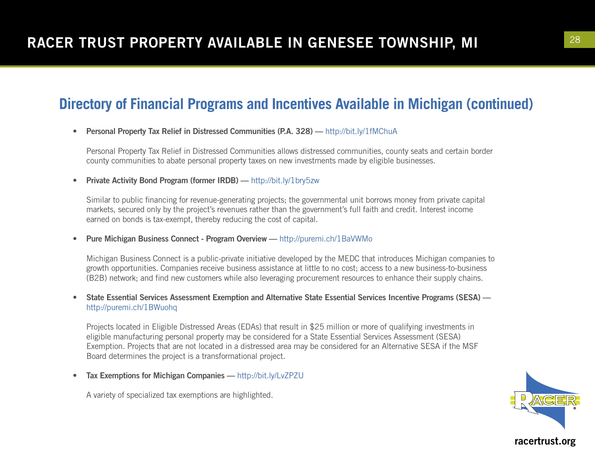#### • Personal Property Tax Relief in Distressed Communities (P.A. 328) — http://bit.ly/1fMChuA

Personal Property Tax Relief in Distressed Communities allows distressed communities, county seats and certain border county communities to abate personal property taxes on new investments made by eligible businesses.

• Private Activity Bond Program (former IRDB) — http://bit.ly/1bry5zw

Similar to public financing for revenue-generating projects; the governmental unit borrows money from private capital markets, secured only by the project's revenues rather than the government's full faith and credit. Interest income earned on bonds is tax-exempt, thereby reducing the cost of capital.

• Pure Michigan Business Connect - Program Overview — http://puremi.ch/1BaVWMo

Michigan Business Connect is a public-private initiative developed by the MEDC that introduces Michigan companies to growth opportunities. Companies receive business assistance at little to no cost; access to a new business-to-business (B2B) network; and find new customers while also leveraging procurement resources to enhance their supply chains.

• State Essential Services Assessment Exemption and Alternative State Essential Services Incentive Programs (SESA) http://puremi.ch/1BWuohq

Projects located in Eligible Distressed Areas (EDAs) that result in \$25 million or more of qualifying investments in eligible manufacturing personal property may be considered for a State Essential Services Assessment (SESA) Exemption. Projects that are not located in a distressed area may be considered for an Alternative SESA if the MSF Board determines the project is a transformational project.

Tax Exemptions for Michigan Companies — http://bit.ly/LvZPZU

A variety of specialized tax exemptions are highlighted.

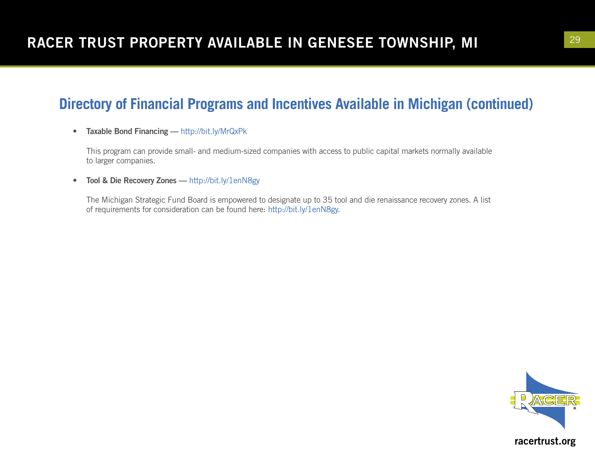• Taxable Bond Financing — http://bit.ly/MrQxPk

This program can provide small- and medium-sized companies with access to public capital markets normally available to larger companies.

• Tool & Die Recovery Zones — http://bit.ly/1enN8gy

The Michigan Strategic Fund Board is empowered to designate up to 35 tool and die renaissance recovery zones. A list of requirements for consideration can be found here: http://bit.ly/1enN8gy.

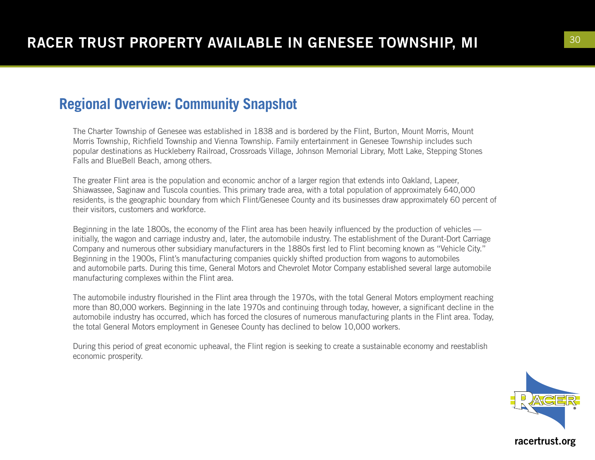### **Regional Overview: Community Snapshot**

The Charter Township of Genesee was established in 1838 and is bordered by the Flint, Burton, Mount Morris, Mount Morris Township, Richfield Township and Vienna Township. Family entertainment in Genesee Township includes such popular destinations as Huckleberry Railroad, Crossroads Village, Johnson Memorial Library, Mott Lake, Stepping Stones Falls and BlueBell Beach, among others.

The greater Flint area is the population and economic anchor of a larger region that extends into Oakland, Lapeer, Shiawassee, Saginaw and Tuscola counties. This primary trade area, with a total population of approximately 640,000 residents, is the geographic boundary from which Flint/Genesee County and its businesses draw approximately 60 percent of their visitors, customers and workforce.

Beginning in the late 1800s, the economy of the Flint area has been heavily influenced by the production of vehicles initially, the wagon and carriage industry and, later, the automobile industry. The establishment of the Durant-Dort Carriage Company and numerous other subsidiary manufacturers in the 1880s first led to Flint becoming known as "Vehicle City." Beginning in the 1900s, Flint's manufacturing companies quickly shifted production from wagons to automobiles and automobile parts. During this time, General Motors and Chevrolet Motor Company established several large automobile manufacturing complexes within the Flint area.

The automobile industry flourished in the Flint area through the 1970s, with the total General Motors employment reaching more than 80,000 workers. Beginning in the late 1970s and continuing through today, however, a significant decline in the automobile industry has occurred, which has forced the closures of numerous manufacturing plants in the Flint area. Today, the total General Motors employment in Genesee County has declined to below 10,000 workers.

During this period of great economic upheaval, the Flint region is seeking to create a sustainable economy and reestablish economic prosperity.

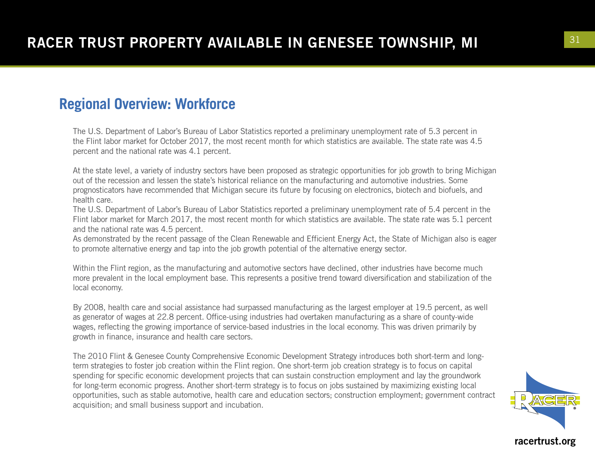### **Regional Overview: Workforce**

The U.S. Department of Labor's Bureau of Labor Statistics reported a preliminary unemployment rate of 5.3 percent in the Flint labor market for October 2017, the most recent month for which statistics are available. The state rate was 4.5 percent and the national rate was 4.1 percent.

At the state level, a variety of industry sectors have been proposed as strategic opportunities for job growth to bring Michigan out of the recession and lessen the state's historical reliance on the manufacturing and automotive industries. Some prognosticators have recommended that Michigan secure its future by focusing on electronics, biotech and biofuels, and health care.

The U.S. Department of Labor's Bureau of Labor Statistics reported a preliminary unemployment rate of 5.4 percent in the Flint labor market for March 2017, the most recent month for which statistics are available. The state rate was 5.1 percent and the national rate was 4.5 percent.

As demonstrated by the recent passage of the Clean Renewable and Efficient Energy Act, the State of Michigan also is eager to promote alternative energy and tap into the job growth potential of the alternative energy sector.

Within the Flint region, as the manufacturing and automotive sectors have declined, other industries have become much more prevalent in the local employment base. This represents a positive trend toward diversification and stabilization of the local economy.

By 2008, health care and social assistance had surpassed manufacturing as the largest employer at 19.5 percent, as well as generator of wages at 22.8 percent. Office-using industries had overtaken manufacturing as a share of county-wide wages, reflecting the growing importance of service-based industries in the local economy. This was driven primarily by growth in finance, insurance and health care sectors.

The 2010 Flint & Genesee County Comprehensive Economic Development Strategy introduces both short-term and longterm strategies to foster job creation within the Flint region. One short-term job creation strategy is to focus on capital spending for specific economic development projects that can sustain construction employment and lay the groundwork for long-term economic progress. Another short-term strategy is to focus on jobs sustained by maximizing existing local opportunities, such as stable automotive, health care and education sectors; construction employment; government contract acquisition; and small business support and incubation.

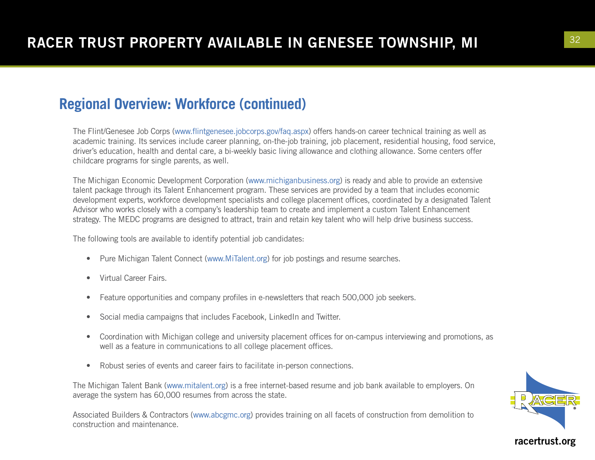### **Regional Overview: Workforce (continued)**

The Flint/Genesee Job Corps (www.flintgenesee.jobcorps.gov/faq.aspx) offers hands-on career technical training as well as academic training. Its services include career planning, on-the-job training, job placement, residential housing, food service, driver's education, health and dental care, a bi-weekly basic living allowance and clothing allowance. Some centers offer childcare programs for single parents, as well.

The Michigan Economic Development Corporation (www.michiganbusiness.org) is ready and able to provide an extensive talent package through its Talent Enhancement program. These services are provided by a team that includes economic development experts, workforce development specialists and college placement offices, coordinated by a designated Talent Advisor who works closely with a company's leadership team to create and implement a custom Talent Enhancement strategy. The MEDC programs are designed to attract, train and retain key talent who will help drive business success.

The following tools are available to identify potential job candidates:

- Pure Michigan Talent Connect (www.MiTalent.org) for job postings and resume searches.
- Virtual Career Fairs.
- Feature opportunities and company profiles in e-newsletters that reach 500,000 job seekers.
- Social media campaigns that includes Facebook, LinkedIn and Twitter.
- Coordination with Michigan college and university placement offices for on-campus interviewing and promotions, as well as a feature in communications to all college placement offices.
- Robust series of events and career fairs to facilitate in-person connections.

The Michigan Talent Bank (www.mitalent.org) is a free internet-based resume and job bank available to employers. On average the system has 60,000 resumes from across the state.

Associated Builders & Contractors (www.abcgmc.org) provides training on all facets of construction from demolition to construction and maintenance.

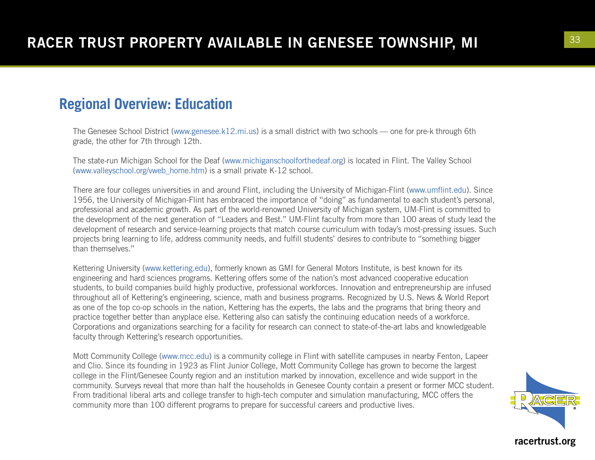### **Regional Overview: Education**

The Genesee School District (www.genesee.k12.mi.us) is a small district with two schools — one for pre-k through 6th grade, the other for 7th through 12th.

The state-run Michigan School for the Deaf (www.michiganschoolforthedeaf.org) is located in Flint. The Valley School (www.valleyschool.org/vweb\_home.htm) is a small private K-12 school.

There are four colleges universities in and around Flint, including the University of Michigan-Flint (www.umflint.edu). Since 1956, the University of Michigan-Flint has embraced the importance of "doing" as fundamental to each student's personal, professional and academic growth. As part of the world-renowned University of Michigan system, UM-Flint is committed to the development of the next generation of "Leaders and Best." UM-Flint faculty from more than 100 areas of study lead the development of research and service-learning projects that match course curriculum with today's most-pressing issues. Such projects bring learning to life, address community needs, and fulfill students' desires to contribute to "something bigger than themselves."

Kettering University (www.kettering.edu), formerly known as GMI for General Motors Institute, is best known for its engineering and hard sciences programs. Kettering offers some of the nation's most advanced cooperative education students, to build companies build highly productive, professional workforces. Innovation and entrepreneurship are infused throughout all of Kettering's engineering, science, math and business programs. Recognized by U.S. News & World Report as one of the top co-op schools in the nation, Kettering has the experts, the labs and the programs that bring theory and practice together better than anyplace else. Kettering also can satisfy the continuing education needs of a workforce. Corporations and organizations searching for a facility for research can connect to state-of-the-art labs and knowledgeable faculty through Kettering's research opportunities.

Mott Community College (www.mcc.edu) is a community college in Flint with satellite campuses in nearby Fenton, Lapeer and Clio. Since its founding in 1923 as Flint Junior College, Mott Community College has grown to become the largest college in the Flint/Genesee County region and an institution marked by innovation, excellence and wide support in the community. Surveys reveal that more than half the households in Genesee County contain a present or former MCC student. From traditional liberal arts and college transfer to high-tech computer and simulation manufacturing, MCC offers the community more than 100 different programs to prepare for successful careers and productive lives.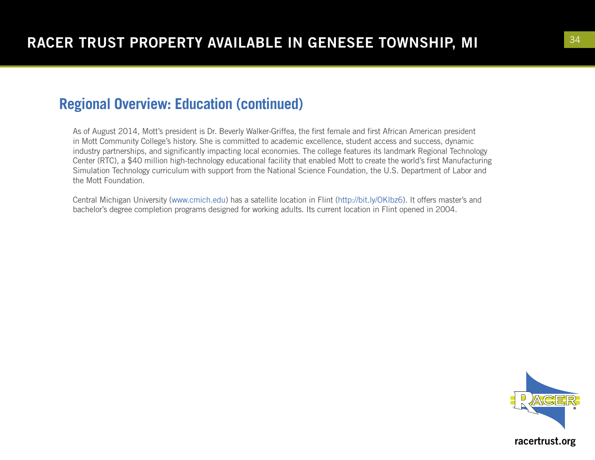### **Regional Overview: Education (continued)**

As of August 2014, Mott's president is Dr. Beverly Walker-Griffea, the first female and first African American president in Mott Community College's history. She is committed to academic excellence, student access and success, dynamic industry partnerships, and significantly impacting local economies. The college features its landmark Regional Technology Center (RTC), a \$40 million high-technology educational facility that enabled Mott to create the world's first Manufacturing Simulation Technology curriculum with support from the National Science Foundation, the U.S. Department of Labor and the Mott Foundation.

Central Michigan University (www.cmich.edu) has a satellite location in Flint (http://bit.ly/OKlbz6). It offers master's and bachelor's degree completion programs designed for working adults. Its current location in Flint opened in 2004.

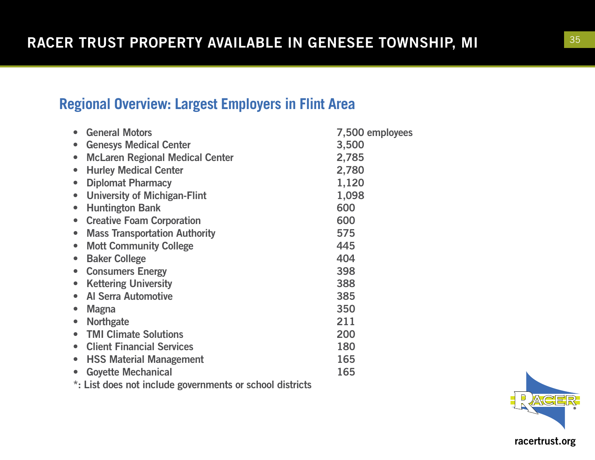## **Regional Overview: Largest Employers in Flint Area**

| <b>General Motors</b><br>$\bullet$                       | 7,500 employees |
|----------------------------------------------------------|-----------------|
| <b>Genesys Medical Center</b>                            | 3,500           |
| <b>McLaren Regional Medical Center</b><br>$\bullet$      | 2,785           |
| <b>Hurley Medical Center</b><br>$\bullet$                | 2,780           |
| <b>Diplomat Pharmacy</b>                                 | 1,120           |
| <b>University of Michigan-Flint</b><br>$\bullet$         | 1,098           |
| <b>Huntington Bank</b>                                   | 600             |
| <b>Creative Foam Corporation</b><br>$\bullet$            | 600             |
| <b>Mass Transportation Authority</b><br>$\bullet$        | 575             |
| <b>Mott Community College</b><br>$\bullet$               | 445             |
| <b>Baker College</b>                                     | 404             |
| <b>Consumers Energy</b><br>$\bullet$                     | 398             |
| <b>Kettering University</b><br>$\bullet$                 | 388             |
| <b>Al Serra Automotive</b>                               | 385             |
| <b>Magna</b>                                             | 350             |
| <b>Northgate</b>                                         | 211             |
| <b>TMI Climate Solutions</b>                             | 200             |
| <b>Client Financial Services</b>                         | 180             |
| <b>HSS Material Management</b><br>$\bullet$              | 165             |
| <b>Goyette Mechanical</b><br>$\bullet$                   | 165             |
| *: List does not include governments or school districts |                 |

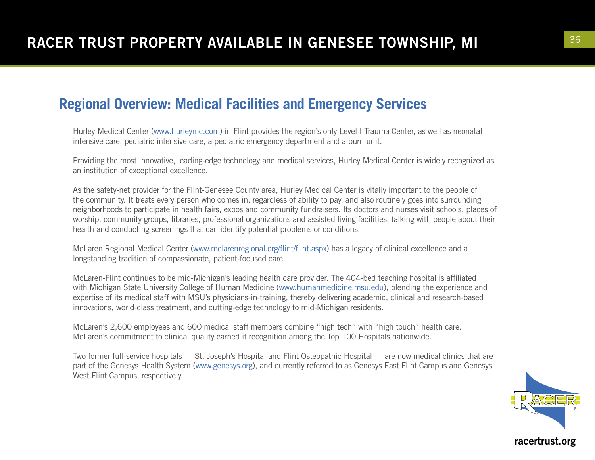### **Regional Overview: Medical Facilities and Emergency Services**

Hurley Medical Center (www.hurleymc.com) in Flint provides the region's only Level I Trauma Center, as well as neonatal intensive care, pediatric intensive care, a pediatric emergency department and a burn unit.

Providing the most innovative, leading-edge technology and medical services, Hurley Medical Center is widely recognized as an institution of exceptional excellence.

As the safety-net provider for the Flint-Genesee County area, Hurley Medical Center is vitally important to the people of the community. It treats every person who comes in, regardless of ability to pay, and also routinely goes into surrounding neighborhoods to participate in health fairs, expos and community fundraisers. Its doctors and nurses visit schools, places of worship, community groups, libraries, professional organizations and assisted-living facilities, talking with people about their health and conducting screenings that can identify potential problems or conditions.

McLaren Regional Medical Center (www.mclarenregional.org/flint/flint.aspx) has a legacy of clinical excellence and a longstanding tradition of compassionate, patient-focused care.

McLaren-Flint continues to be mid-Michigan's leading health care provider. The 404-bed teaching hospital is affiliated with Michigan State University College of Human Medicine (www.humanmedicine.msu.edu), blending the experience and expertise of its medical staff with MSU's physicians-in-training, thereby delivering academic, clinical and research-based innovations, world-class treatment, and cutting-edge technology to mid-Michigan residents.

McLaren's 2,600 employees and 600 medical staff members combine "high tech" with "high touch" health care. McLaren's commitment to clinical quality earned it recognition among the Top 100 Hospitals nationwide.

Two former full-service hospitals — St. Joseph's Hospital and Flint Osteopathic Hospital — are now medical clinics that are part of the Genesys Health System (www.genesys.org), and currently referred to as Genesys East Flint Campus and Genesys West Flint Campus, respectively.

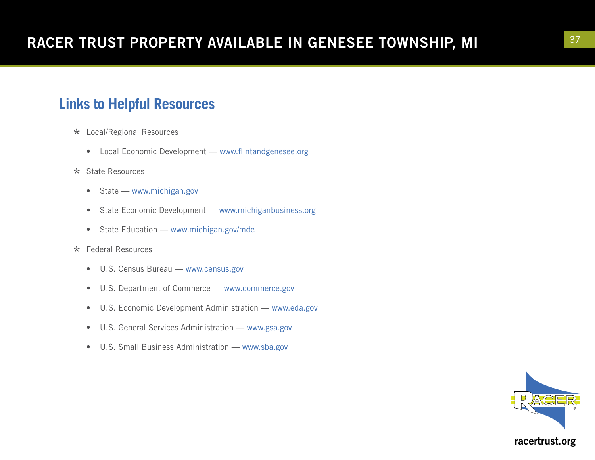## **Links to Helpful Resources**

- \* Local/Regional Resources
	- Local Economic Development www.flintandgenesee.org
- \* State Resources
	- State www.michigan.gov
	- State Economic Development www.michiganbusiness.org
	- State Education www.michigan.gov/mde
- \* Federal Resources
	- U.S. Census Bureau www.census.gov
	- U.S. Department of Commerce www.commerce.gov
	- U.S. Economic Development Administration www.eda.gov
	- U.S. General Services Administration www.gsa.gov
	- U.S. Small Business Administration www.sba.gov

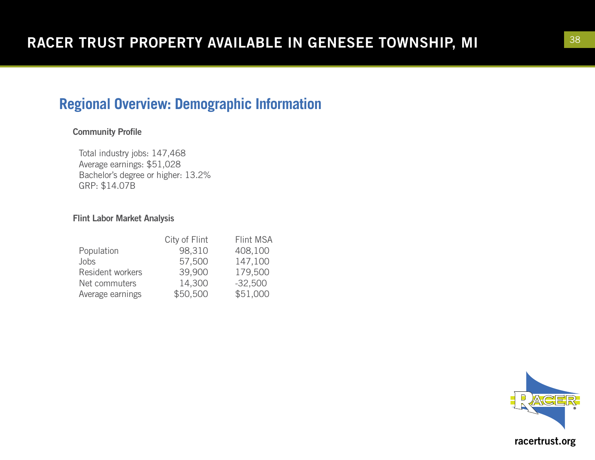## **Regional Overview: Demographic Information**

#### Community Profile

Total industry jobs: 147,468 Average earnings: \$51,028 Bachelor's degree or higher: 13.2% GRP: \$14.07B

#### Flint Labor Market Analysis

| City of Flint | Flint MSA |
|---------------|-----------|
| 98,310        | 408,100   |
| 57,500        | 147,100   |
| 39,900        | 179,500   |
| 14,300        | $-32,500$ |
| \$50,500      | \$51,000  |
|               |           |

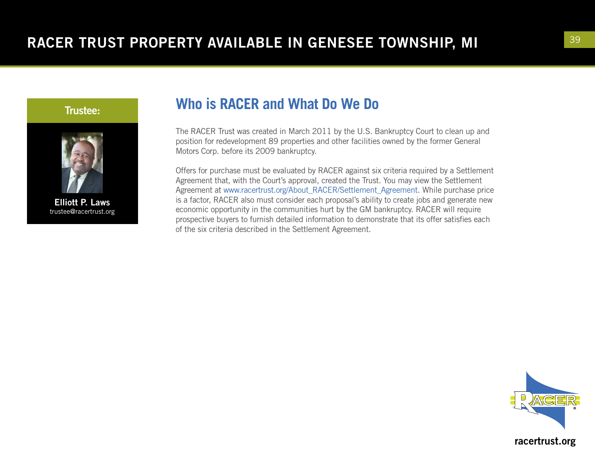

Trustee:

Elliott P. Laws trustee@racertrust.org

## **Who is RACER and What Do We Do**

The RACER Trust was created in March 2011 by the U.S. Bankruptcy Court to clean up and position for redevelopment 89 properties and other facilities owned by the former General Motors Corp. before its 2009 bankruptcy.

Offers for purchase must be evaluated by RACER against six criteria required by a Settlement Agreement that, with the Court's approval, created the Trust. You may view the Settlement Agreement at www.racertrust.org/About\_RACER/Settlement\_Agreement. While purchase price is a factor, RACER also must consider each proposal's ability to create jobs and generate new economic opportunity in the communities hurt by the GM bankruptcy. RACER will require prospective buyers to furnish detailed information to demonstrate that its offer satisfies each of the six criteria described in the Settlement Agreement.

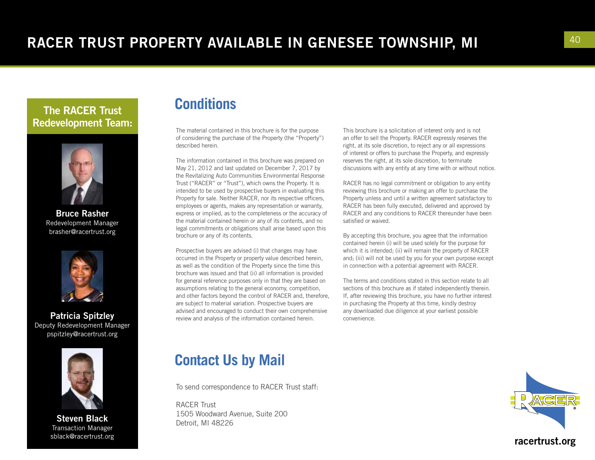### The RACER Trust Redevelopment Team:



Bruce Rasher Redevelopment Manager brasher@racertrust.org



Patricia Spitzley Deputy Redevelopment Manager pspitzley@racertrust.org



Steven Black Transaction Manager sblack@racertrust.org

## **Conditions**

The material contained in this brochure is for the purpose of considering the purchase of the Property (the "Property") described herein.

The information contained in this brochure was prepared on May 21, 2012 and last updated on December 7, 2017 by the Revitalizing Auto Communities Environmental Response Trust ("RACER" or "Trust"), which owns the Property. It is intended to be used by prospective buyers in evaluating this Property for sale. Neither RACER, nor its respective officers, employees or agents, makes any representation or warranty, express or implied, as to the completeness or the accuracy of the material contained herein or any of its contents, and no legal commitments or obligations shall arise based upon this brochure or any of its contents.

Prospective buyers are advised (i) that changes may have occurred in the Property or property value described herein, as well as the condition of the Property since the time this brochure was issued and that (ii) all information is provided for general reference purposes only in that they are based on assumptions relating to the general economy, competition, and other factors beyond the control of RACER and, therefore, are subject to material variation. Prospective buyers are advised and encouraged to conduct their own comprehensive review and analysis of the information contained herein.

### **Contact Us by Mail**

To send correspondence to RACER Trust staff:

RACER Trust 1505 Woodward Avenue, Suite 200 Detroit, MI 48226

This brochure is a solicitation of interest only and is not an offer to sell the Property. RACER expressly reserves the right, at its sole discretion, to reject any or all expressions of interest or offers to purchase the Property, and expressly reserves the right, at its sole discretion, to terminate discussions with any entity at any time with or without notice.

RACER has no legal commitment or obligation to any entity reviewing this brochure or making an offer to purchase the Property unless and until a written agreement satisfactory to RACER has been fully executed, delivered and approved by RACER and any conditions to RACER thereunder have been satisfied or waived.

By accepting this brochure, you agree that the information contained herein (i) will be used solely for the purpose for which it is intended; (ii) will remain the property of RACER and; (iii) will not be used by you for your own purpose except in connection with a potential agreement with RACER.

The terms and conditions stated in this section relate to all sections of this brochure as if stated independently therein. If, after reviewing this brochure, you have no further interest in purchasing the Property at this time, kindly destroy any downloaded due diligence at your earliest possible convenience.

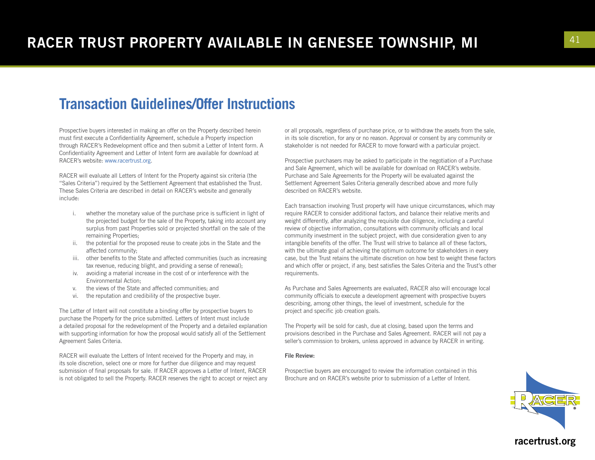### **Transaction Guidelines/Offer Instructions**

Prospective buyers interested in making an offer on the Property described herein must first execute a Confidentiality Agreement, schedule a Property inspection through RACER's Redevelopment office and then submit a Letter of Intent form. A Confidentiality Agreement and Letter of Intent form are available for download at RACER's website: www.racertrust.org.

RACER will evaluate all Letters of Intent for the Property against six criteria (the "Sales Criteria") required by the Settlement Agreement that established the Trust. These Sales Criteria are described in detail on RACER's website and generally include:

- i. whether the monetary value of the purchase price is sufficient in light of the projected budget for the sale of the Property, taking into account any surplus from past Properties sold or projected shortfall on the sale of the remaining Properties;
- ii. the potential for the proposed reuse to create jobs in the State and the affected community;
- iii. other benefits to the State and affected communities (such as increasing tax revenue, reducing blight, and providing a sense of renewal);
- iv. avoiding a material increase in the cost of or interference with the Environmental Action;
- v. the views of the State and affected communities; and
- vi. the reputation and credibility of the prospective buyer.

The Letter of Intent will not constitute a binding offer by prospective buyers to purchase the Property for the price submitted. Letters of Intent must include a detailed proposal for the redevelopment of the Property and a detailed explanation with supporting information for how the proposal would satisfy all of the Settlement Agreement Sales Criteria.

RACER will evaluate the Letters of Intent received for the Property and may, in its sole discretion, select one or more for further due diligence and may request submission of final proposals for sale. If RACER approves a Letter of Intent, RACER is not obligated to sell the Property. RACER reserves the right to accept or reject any or all proposals, regardless of purchase price, or to withdraw the assets from the sale, in its sole discretion, for any or no reason. Approval or consent by any community or stakeholder is not needed for RACER to move forward with a particular project.

Prospective purchasers may be asked to participate in the negotiation of a Purchase and Sale Agreement, which will be available for download on RACER's website. Purchase and Sale Agreements for the Property will be evaluated against the Settlement Agreement Sales Criteria generally described above and more fully described on RACER's website.

Each transaction involving Trust property will have unique circumstances, which may require RACER to consider additional factors, and balance their relative merits and weight differently, after analyzing the requisite due diligence, including a careful review of objective information, consultations with community officials and local community investment in the subject project, with due consideration given to any intangible benefits of the offer. The Trust will strive to balance all of these factors, with the ultimate goal of achieving the optimum outcome for stakeholders in every case, but the Trust retains the ultimate discretion on how best to weight these factors and which offer or project, if any, best satisfies the Sales Criteria and the Trust's other requirements.

As Purchase and Sales Agreements are evaluated, RACER also will encourage local community officials to execute a development agreement with prospective buyers describing, among other things, the level of investment, schedule for the project and specific job creation goals.

The Property will be sold for cash, due at closing, based upon the terms and provisions described in the Purchase and Sales Agreement. RACER will not pay a seller's commission to brokers, unless approved in advance by RACER in writing.

#### File Review:

Prospective buyers are encouraged to review the information contained in this Brochure and on RACER's website prior to submission of a Letter of Intent.